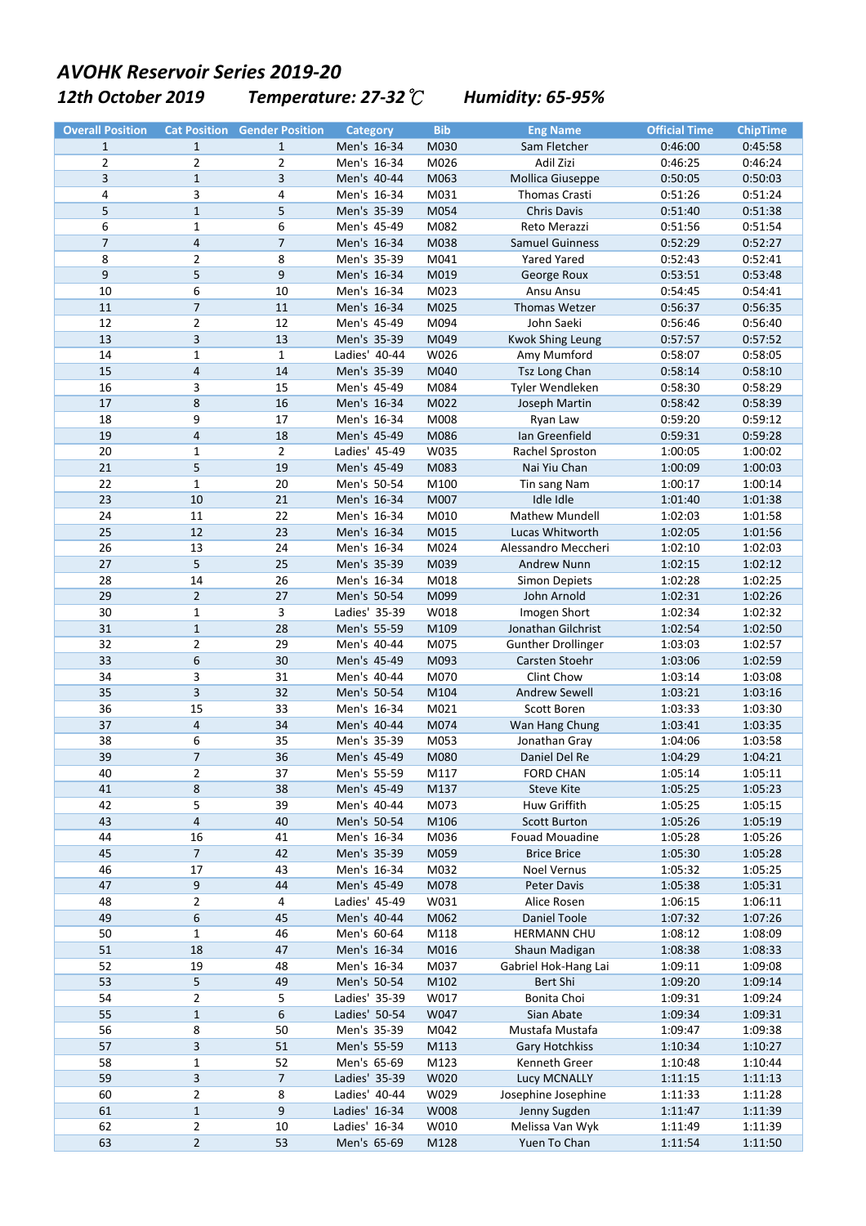## **12th October 2019** Temperature: 27-32 ℃ Humidity: 65-95% *AVOHK Reservoir Series 2019-20*

| <b>Overall Position</b> |                         | <b>Cat Position Gender Position</b> | <b>Category</b> | <b>Bib</b> | <b>Eng Name</b>            | <b>Official Time</b> | <b>ChipTime</b> |
|-------------------------|-------------------------|-------------------------------------|-----------------|------------|----------------------------|----------------------|-----------------|
| $\mathbf{1}$            | $\mathbf{1}$            | $\mathbf{1}$                        | Men's 16-34     | M030       | Sam Fletcher               | 0:46:00              | 0:45:58         |
| 2                       | $\overline{2}$          | $\overline{2}$                      | Men's 16-34     | M026       | Adil Zizi                  | 0:46:25              | 0:46:24         |
| 3                       | $\mathbf{1}$            | 3                                   | Men's 40-44     | M063       | Mollica Giuseppe           | 0:50:05              | 0:50:03         |
| 4                       | 3                       | 4                                   | Men's 16-34     | M031       | Thomas Crasti              | 0:51:26              | 0:51:24         |
| 5                       | $\mathbf{1}$            | 5                                   | Men's 35-39     | M054       | Chris Davis                | 0:51:40              | 0:51:38         |
| 6                       | $\mathbf{1}$            | 6                                   | Men's 45-49     | M082       | Reto Merazzi               | 0:51:56              | 0:51:54         |
| $\overline{7}$          | 4                       | $\overline{7}$                      | Men's 16-34     | M038       | <b>Samuel Guinness</b>     | 0:52:29              | 0:52:27         |
| 8                       | 2                       | 8                                   | Men's 35-39     | M041       | <b>Yared Yared</b>         | 0:52:43              | 0:52:41         |
| $\boldsymbol{9}$        | 5                       | 9                                   | Men's 16-34     | M019       | George Roux                | 0:53:51              | 0:53:48         |
| 10                      | 6                       | 10                                  | Men's 16-34     | M023       | Ansu Ansu                  | 0:54:45              | 0:54:41         |
| 11                      | $\overline{7}$          | $11\,$                              | Men's 16-34     | M025       | Thomas Wetzer              | 0:56:37              | 0:56:35         |
| 12                      | $\mathbf{2}$            | 12                                  | Men's 45-49     | M094       | John Saeki                 | 0:56:46              | 0:56:40         |
| 13                      | 3                       | 13                                  | Men's 35-39     | M049       | <b>Kwok Shing Leung</b>    | 0:57:57              | 0:57:52         |
| 14                      | $\mathbf{1}$            | $\mathbf{1}$                        | Ladies' 40-44   | W026       | Amy Mumford                | 0:58:07              | 0:58:05         |
| 15                      | 4                       | 14                                  | Men's 35-39     | M040       | Tsz Long Chan              | 0:58:14              | 0:58:10         |
| 16                      | 3                       | 15                                  | Men's 45-49     | M084       | Tyler Wendleken            | 0:58:30              | 0:58:29         |
| $17\,$                  | 8                       | 16                                  | Men's 16-34     | M022       | Joseph Martin              | 0:58:42              | 0:58:39         |
| 18                      | 9                       | 17                                  | Men's 16-34     | M008       |                            | 0:59:20              | 0:59:12         |
| 19                      | $\overline{\mathbf{4}}$ | 18                                  | Men's 45-49     | M086       | Ryan Law<br>Ian Greenfield | 0:59:31              | 0:59:28         |
| 20                      |                         | $\overline{2}$                      |                 |            |                            |                      | 1:00:02         |
|                         | $\mathbf{1}$            |                                     | Ladies' 45-49   | W035       | Rachel Sproston            | 1:00:05              |                 |
| 21                      | 5                       | 19                                  | Men's 45-49     | M083       | Nai Yiu Chan               | 1:00:09              | 1:00:03         |
| 22                      | $\mathbf{1}$            | 20                                  | Men's 50-54     | M100       | Tin sang Nam               | 1:00:17              | 1:00:14         |
| 23                      | 10                      | 21                                  | Men's 16-34     | M007       | Idle Idle                  | 1:01:40              | 1:01:38         |
| 24                      | 11                      | 22                                  | Men's 16-34     | M010       | Mathew Mundell             | 1:02:03              | 1:01:58         |
| 25                      | 12                      | 23                                  | Men's 16-34     | M015       | Lucas Whitworth            | 1:02:05              | 1:01:56         |
| 26                      | 13                      | 24                                  | Men's 16-34     | M024       | Alessandro Meccheri        | 1:02:10              | 1:02:03         |
| 27                      | 5                       | 25                                  | Men's 35-39     | M039       | <b>Andrew Nunn</b>         | 1:02:15              | 1:02:12         |
| 28                      | 14                      | 26                                  | Men's 16-34     | M018       | <b>Simon Depiets</b>       | 1:02:28              | 1:02:25         |
| 29                      | $\mathbf 2$             | 27                                  | Men's 50-54     | M099       | John Arnold                | 1:02:31              | 1:02:26         |
| 30                      | $\mathbf{1}$            | 3                                   | Ladies' 35-39   | W018       | Imogen Short               | 1:02:34              | 1:02:32         |
| 31                      | $\mathbf{1}$            | 28                                  | Men's 55-59     | M109       | Jonathan Gilchrist         | 1:02:54              | 1:02:50         |
| 32                      | 2                       | 29                                  | Men's 40-44     | M075       | <b>Gunther Drollinger</b>  | 1:03:03              | 1:02:57         |
| 33                      | 6                       | 30                                  | Men's 45-49     | M093       | Carsten Stoehr             | 1:03:06              | 1:02:59         |
| 34                      | 3                       | 31                                  | Men's 40-44     | M070       | Clint Chow                 | 1:03:14              | 1:03:08         |
| 35                      | 3                       | 32                                  | Men's 50-54     | M104       | <b>Andrew Sewell</b>       | 1:03:21              | 1:03:16         |
| 36                      | 15                      | 33                                  | Men's 16-34     | M021       | Scott Boren                | 1:03:33              | 1:03:30         |
| 37                      | $\overline{\mathbf{4}}$ | 34                                  | Men's 40-44     | M074       | Wan Hang Chung             | 1:03:41              | 1:03:35         |
| 38                      | 6                       | 35                                  | Men's 35-39     | M053       | Jonathan Gray              | 1:04:06              | 1:03:58         |
| 39                      | $\overline{7}$          | 36                                  | Men's 45-49     | M080       | Daniel Del Re              | 1:04:29              | 1:04:21         |
| 40                      | $\overline{2}$          | 37                                  | Men's 55-59     | M117       | <b>FORD CHAN</b>           | 1:05:14              | 1:05:11         |
| 41                      | 8                       | 38                                  | Men's 45-49     | M137       | <b>Steve Kite</b>          | 1:05:25              | 1:05:23         |
| 42                      | 5                       | 39                                  | Men's 40-44     | M073       | Huw Griffith               | 1:05:25              | 1:05:15         |
| 43                      | $\overline{\mathbf{4}}$ | 40                                  | Men's 50-54     | M106       | <b>Scott Burton</b>        | 1:05:26              | 1:05:19         |
| 44                      | 16                      | 41                                  | Men's 16-34     | M036       | Fouad Mouadine             | 1:05:28              | 1:05:26         |
| 45                      | $\overline{7}$          | 42                                  | Men's 35-39     | M059       | <b>Brice Brice</b>         | 1:05:30              | 1:05:28         |
| 46                      | 17                      | 43                                  | Men's 16-34     | M032       | Noel Vernus                | 1:05:32              | 1:05:25         |
| 47                      | 9                       | 44                                  | Men's 45-49     | M078       | Peter Davis                | 1:05:38              | 1:05:31         |
| 48                      | 2                       | 4                                   | Ladies' 45-49   | W031       | Alice Rosen                | 1:06:15              | 1:06:11         |
| 49                      | 6                       | 45                                  | Men's 40-44     | M062       | Daniel Toole               | 1:07:32              | 1:07:26         |
| 50                      | $\mathbf{1}$            | 46                                  | Men's 60-64     | M118       | <b>HERMANN CHU</b>         | 1:08:12              | 1:08:09         |
| 51                      | 18                      | 47                                  | Men's 16-34     | M016       | Shaun Madigan              | 1:08:38              | 1:08:33         |
| 52                      | 19                      | 48                                  | Men's 16-34     | M037       | Gabriel Hok-Hang Lai       | 1:09:11              | 1:09:08         |
| 53                      | 5                       | 49                                  | Men's 50-54     | M102       | Bert Shi                   | 1:09:20              | 1:09:14         |
| 54                      | 2                       | 5                                   | Ladies' 35-39   | W017       | Bonita Choi                | 1:09:31              | 1:09:24         |
| 55                      | $\mathbf 1$             | $\boldsymbol{6}$                    | Ladies' 50-54   | W047       | Sian Abate                 | 1:09:34              | 1:09:31         |
| 56                      | 8                       | 50                                  | Men's 35-39     | M042       | Mustafa Mustafa            | 1:09:47              | 1:09:38         |
| 57                      | 3                       | 51                                  | Men's 55-59     | M113       | <b>Gary Hotchkiss</b>      | 1:10:34              | 1:10:27         |
| 58                      | 1                       | 52                                  | Men's 65-69     | M123       | Kenneth Greer              | 1:10:48              | 1:10:44         |
| 59                      | 3                       | $\overline{7}$                      | Ladies' 35-39   | W020       | Lucy MCNALLY               | 1:11:15              | 1:11:13         |
| 60                      | 2                       | 8                                   | Ladies' 40-44   | W029       | Josephine Josephine        | 1:11:33              | 1:11:28         |
| 61                      | $\mathbf 1$             | $9\,$                               | Ladies' 16-34   | W008       | Jenny Sugden               | 1:11:47              | 1:11:39         |
| 62                      | 2                       | 10                                  | Ladies' 16-34   | W010       | Melissa Van Wyk            | 1:11:49              | 1:11:39         |
| 63                      | $\overline{c}$          | 53                                  | Men's 65-69     | M128       | Yuen To Chan               | 1:11:54              | 1:11:50         |